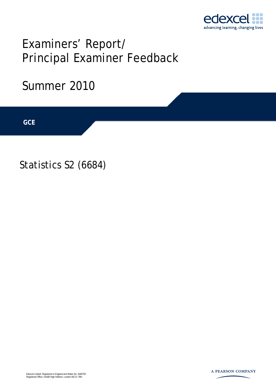

# Examiners' Report/ Principal Examiner Feedback

## Summer 2010

**IGCSE GCE** 

Statistics S2 (6684)

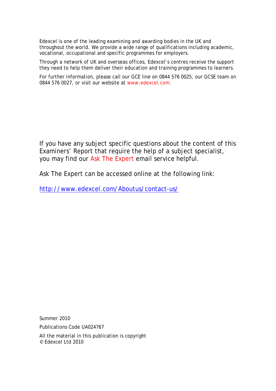Edexcel is one of the leading examining and awarding bodies in the UK and throughout the world. We provide a wide range of qualifications including academic, vocational, occupational and specific programmes for employers.

Through a network of UK and overseas offices, Edexcel's centres receive the support they need to help them deliver their education and training programmes to learners.

For further information, please call our GCE line on 0844 576 0025, our GCSE team on 0844 576 0027, or visit our website at www.edexcel.com.

If you have any subject specific questions about the content of this Examiners' Report that require the help of a subject specialist, you may find our Ask The Expert email service helpful.

Ask The Expert can be accessed online at the following link:

http://www.edexcel.com/Aboutus/contact-us/

Summer 2010

Publications Code UA024767

All the material in this publication is copyright © Edexcel Ltd 2010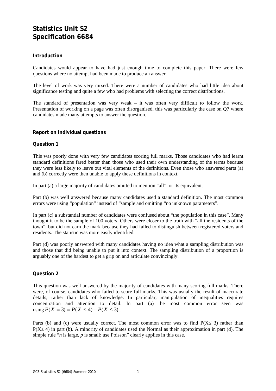### **Statistics Unit S2 Specification 6684**

#### **Introduction**

Candidates would appear to have had just enough time to complete this paper. There were few questions where no attempt had been made to produce an answer.

The level of work was very mixed. There were a number of candidates who had little idea about significance testing and quite a few who had problems with selecting the correct distributions.

The standard of presentation was very weak – it was often very difficult to follow the work. Presentation of working on a page was often disorganised, this was particularly the case on Q7 where candidates made many attempts to answer the question.

#### **Report on individual questions**

#### **Question 1**

This was poorly done with very few candidates scoring full marks. Those candidates who had learnt standard definitions fared better than those who used their own understanding of the terms because they were less likely to leave out vital elements of the definitions. Even those who answered parts (a) and (b) correctly were then unable to apply these definitions in context.

In part (a) a large majority of candidates omitted to mention "all", or its equivalent.

Part (b) was well answered because many candidates used a standard definition. The most common errors were using "population" instead of "sample and omitting "no unknown parameters".

In part (c) a substantial number of candidates were confused about "the population in this case". Many thought it to be the sample of 100 voters. Others were closer to the truth with "all the residents of the town", but did not earn the mark because they had failed to distinguish between registered voters and residents. The statistic was more easily identified.

Part (d) was poorly answered with many candidates having no idea what a sampling distribution was and those that did being unable to put it into context. The sampling distribution of a proportion is arguably one of the hardest to get a grip on and articulate convincingly.

#### **Question 2**

This question was well answered by the majority of candidates with many scoring full marks. There were, of course, candidates who failed to score full marks. This was usually the result of inaccurate details, rather than lack of knowledge. In particular, manipulation of inequalities requires concentration and attention to detail. In part (a) the most common error seen was using  $P(X = 3) = P(X ≤ 4) - P(X ≤ 3)$ .

Parts (b) and (c) were usually correct. The most common error was to find  $P(X \le 3)$  rather than  $P(X \le 4)$  in part (b). A minority of candidates used the Normal as their approximation in part (d). The simple rule "*n* is large, *p* is small: use Poisson" clearly applies in this case.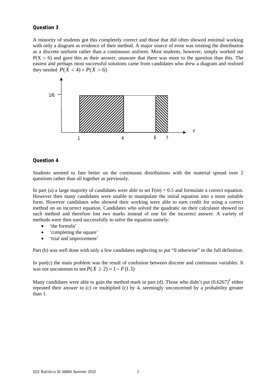#### **Question 3**

A minority of students got this completely correct and those that did often showed minimal working with only a diagram as evidence of their method. A major source of error was treating the distribution as a discrete uniform rather than a continuous uniform. Most students, however, simply worked out  $P(X > 6)$  and gave this as their answer, unaware that there was more to the question than this. The easiest and perhaps most successful solutions came from candidates who drew a diagram and realised they needed  $P(X < 4) + P(X > 6)$ 



#### **Question 4**

Students seemed to fare better on the continuous distributions with the material spread over 2 questions rather than all together as previously.

In part (a) a large majority of candidates were able to set  $F(m) = 0.5$  and formulate a correct equation. However then many candidates were unable to manipulate the initial equation into a more suitable form. However candidates who showed their working were able to earn credit for using a correct method on an incorrect equation. Candidates who solved the quadratic on their calculator showed no such method and therefore lost two marks instead of one for the incorrect answer. A variety of methods were then used successfully to solve the equation namely:

- 'the formula'
- 'completing the square'
- 'trial and improvement'

Part (b) was well done with only a few candidates neglecting to put "0 otherwise" in the full definition.

In part $(c)$  the main problem was the result of confusion between discrete and continuous variables. It was not uncommon to see  $P(X \ge 2) = 1 - F(1.1)$ 

Many candidates were able to gain the method mark in part (d). Those who didn't put  $(0.6267)^4$  either repeated their answer to (c) or multiplied (c) by 4, seemingly unconcerned by a probability greater than 1.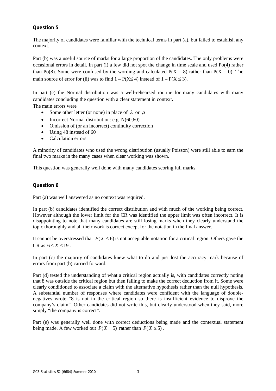#### **Question 5**

The majority of candidates were familiar with the technical terms in part (a), but failed to establish any context.

Part (b) was a useful source of marks for a large proportion of the candidates. The only problems were occasional errors in detail. In part (i) a few did not spot the change in time scale and used Po(4) rather than Po(8). Some were confused by the wording and calculated  $P(X = 8)$  rather than  $P(X = 0)$ . The main source of error for (ii) was to find  $1 - P(X \le 4)$  instead of  $1 - P(X \le 3)$ .

In part (c) the Normal distribution was a well-rehearsed routine for many candidates with many candidates concluding the question with a clear statement in context.

The main errors were

- Some other letter (or none) in place of  $\lambda$  or  $\mu$
- Incorrect Normal distribution: e.g. N(60,60)
- Omission of (or an incorrect) continuity correction
- Using 48 instead of 60
- Calculation errors

A minority of candidates who used the wrong distribution (usually Poisson) were still able to earn the final two marks in the many cases when clear working was shown.

This question was generally well done with many candidates scoring full marks.

#### **Question 6**

Part (a) was well answered as no context was required.

In part (b) candidates identified the correct distribution and with much of the working being correct. However although the lower limit for the CR was identified the upper limit was often incorrect. It is disappointing to note that many candidates are still losing marks when they clearly understand the topic thoroughly and all their work is correct except for the notation in the final answer.

It cannot be overstressed that  $P(X \le 6)$  is not acceptable notation for a critical region. Others gave the  $CR$  as  $6 \le X \le 19$ .

In part (c) the majority of candidates knew what to do and just lost the accuracy mark because of errors from part (b) carried forward.

Part (d) tested the understanding of what a critical region actually is, with candidates correctly noting that 8 was outside the critical region but then failing to make the correct deduction from it. Some were clearly conditioned to associate a claim with the alternative hypothesis rather than the null hypothesis. A substantial number of responses where candidates were confident with the language of doublenegatives wrote "8 is not in the critical region so there is insufficient evidence to disprove the company's claim". Other candidates did not write this, but clearly understood when they said, more simply "the company is correct".

Part (e) was generally well done with correct deductions being made and the contextual statement being made. A few worked out  $P(X = 5)$  rather than  $P(X \le 5)$ .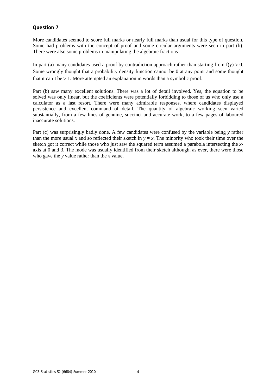#### **Question 7**

More candidates seemed to score full marks or nearly full marks than usual for this type of question. Some had problems with the concept of proof and some circular arguments were seen in part (b). There were also some problems in manipulating the algebraic fractions

In part (a) many candidates used a proof by contradiction approach rather than starting from  $f(y) > 0$ . Some wrongly thought that a probability density function cannot be 0 at any point and some thought that it can't be  $> 1$ . More attempted an explanation in words than a symbolic proof.

Part (b) saw many excellent solutions. There was a lot of detail involved. Yes, the equation to be solved was only linear, but the coefficients were potentially forbidding to those of us who only use a calculator as a last resort. There were many admirable responses, where candidates displayed persistence and excellent command of detail. The quantity of algebraic working seen varied substantially, from a few lines of genuine, succinct and accurate work, to a few pages of laboured inaccurate solutions.

Part (c) was surprisingly badly done. A few candidates were confused by the variable being *y* rather than the more usual *x* and so reflected their sketch in  $y = x$ . The minority who took their time over the sketch got it correct while those who just saw the squared term assumed a parabola intersecting the *x*axis at 0 and 3. The mode was usually identified from their sketch although, as ever, there were those who gave the *y* value rather than the *x* value.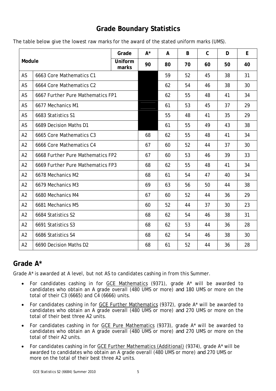## **Grade Boundary Statistics**

|  |  | The table below give the lowest raw marks for the award of the stated uniform marks (UMS). |
|--|--|--------------------------------------------------------------------------------------------|
|--|--|--------------------------------------------------------------------------------------------|

| Module         |                                   | Grade            | $A^*$ | A  | B  | $\mathsf C$ | D  | E  |
|----------------|-----------------------------------|------------------|-------|----|----|-------------|----|----|
|                |                                   | Uniform<br>marks | 90    | 80 | 70 | 60          | 50 | 40 |
| AS             | 6663 Core Mathematics C1          |                  |       | 59 | 52 | 45          | 38 | 31 |
| AS             | 6664 Core Mathematics C2          |                  |       | 62 | 54 | 46          | 38 | 30 |
| AS             | 6667 Further Pure Mathematics FP1 |                  |       | 62 | 55 | 48          | 41 | 34 |
| AS             | 6677 Mechanics M1                 |                  |       | 61 | 53 | 45          | 37 | 29 |
| AS             | 6683 Statistics S1                |                  |       | 55 | 48 | 41          | 35 | 29 |
| AS             | 6689 Decision Maths D1            |                  |       | 61 | 55 | 49          | 43 | 38 |
| A2             | 6665 Core Mathematics C3          |                  | 68    | 62 | 55 | 48          | 41 | 34 |
| A2             | 6666 Core Mathematics C4          |                  | 67    | 60 | 52 | 44          | 37 | 30 |
| A2             | 6668 Further Pure Mathematics FP2 |                  | 67    | 60 | 53 | 46          | 39 | 33 |
| A2             | 6669 Further Pure Mathematics FP3 |                  | 68    | 62 | 55 | 48          | 41 | 34 |
| A2             | 6678 Mechanics M2                 |                  | 68    | 61 | 54 | 47          | 40 | 34 |
| A2             | 6679 Mechanics M3                 |                  | 69    | 63 | 56 | 50          | 44 | 38 |
| A2             | 6680 Mechanics M4                 |                  | 67    | 60 | 52 | 44          | 36 | 29 |
| A2             | 6681 Mechanics M5                 |                  | 60    | 52 | 44 | 37          | 30 | 23 |
| A2             | 6684 Statistics S2                |                  | 68    | 62 | 54 | 46          | 38 | 31 |
| A2             | 6691 Statistics S3                |                  | 68    | 62 | 53 | 44          | 36 | 28 |
| A <sub>2</sub> | 6686 Statistics S4                |                  | 68    | 62 | 54 | 46          | 38 | 30 |
| A2             | 6690 Decision Maths D2            |                  | 68    | 61 | 52 | 44          | 36 | 28 |

## **Grade A\***

Grade A\* is awarded at A level, but not AS to candidates cashing in from this Summer.

- For candidates cashing in for GCE Mathematics (9371), grade A\* will be awarded to candidates who obtain an A grade overall (480 UMS or more) *and* 180 UMS or more on the total of their C3 (6665) and C4 (6666) units.
- For candidates cashing in for GCE Further Mathematics (9372), grade A\* will be awarded to candidates who obtain an A grade overall (480 UMS or more) *and* 270 UMS or more on the total of their best three A2 units.
- For candidates cashing in for GCE Pure Mathematics (9373), grade A\* will be awarded to candidates who obtain an A grade overall (480 UMS or more) *and* 270 UMS or more on the total of their A2 units.
- For candidates cashing in for GCE Further Mathematics (Additional) (9374), grade A\* will be awarded to candidates who obtain an A grade overall (480 UMS or more) *and* 270 UMS or more on the total of their best three A2 units.